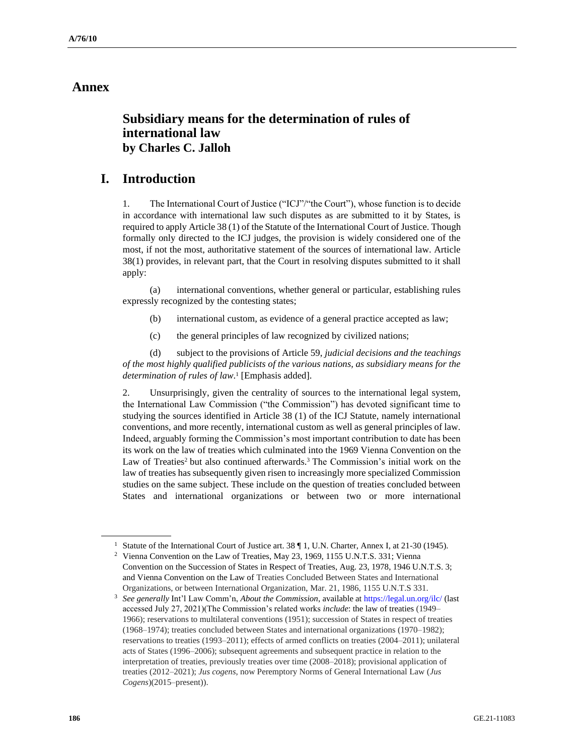## **Annex**

# **Subsidiary means for the determination of rules of international law by Charles C. Jalloh**

## **I. Introduction**

1. The International Court of Justice ("ICJ"/"the Court"), whose function is to decide in accordance with international law such disputes as are submitted to it by States, is required to apply Article 38 (1) of the Statute of the International Court of Justice. Though formally only directed to the ICJ judges, the provision is widely considered one of the most, if not the most, authoritative statement of the sources of international law. Article 38(1) provides, in relevant part, that the Court in resolving disputes submitted to it shall apply:

(a) international conventions, whether general or particular, establishing rules expressly recognized by the contesting states;

- (b) international custom, as evidence of a general practice accepted as law;
- (c) the general principles of law recognized by civilized nations;

(d) subject to the provisions of Article 59, *judicial decisions and the teachings of the most highly qualified publicists of the various nations, as subsidiary means for the determination of rules of law*. 1 [Emphasis added].

2. Unsurprisingly, given the centrality of sources to the international legal system, the International Law Commission ("the Commission") has devoted significant time to studying the sources identified in Article 38 (1) of the ICJ Statute, namely international conventions, and more recently, international custom as well as general principles of law. Indeed, arguably forming the Commission's most important contribution to date has been its work on the law of treaties which culminated into the 1969 Vienna Convention on the Law of Treaties<sup>2</sup> but also continued afterwards.<sup>3</sup> The Commission's initial work on the law of treaties has subsequently given risen to increasingly more specialized Commission studies on the same subject. These include on the question of treaties concluded between States and international organizations or between two or more international

<sup>&</sup>lt;sup>1</sup> Statute of the International Court of Justice art. 38 ¶ 1, U.N. Charter, Annex I, at 21-30 (1945).

<sup>&</sup>lt;sup>2</sup> Vienna Convention on the Law of Treaties, May 23, 1969, 1155 U.N.T.S. 331; Vienna Convention on the Succession of States in Respect of Treaties, Aug. 23, 1978, 1946 U.N.T.S. 3; and Vienna Convention on the Law of Treaties Concluded Between States and International Organizations, or between International Organization, Mar. 21, 1986, 1155 U.N.T.S 331.

<sup>3</sup> *See generally* Int'l Law Comm'n, *About the Commission*, available a[t https://legal.un.org/ilc/](https://legal.un.org/ilc/) (last accessed July 27, 2021)(The Commission's related works *include*: the law of treaties (1949– 1966); reservations to multilateral conventions (1951); succession of States in respect of treaties (1968–1974); treaties concluded between States and international organizations (1970–1982); reservations to treaties (1993–2011); effects of armed conflicts on treaties (2004–2011); unilateral acts of States (1996–2006); subsequent agreements and subsequent practice in relation to the interpretation of treaties, previously treaties over time (2008–2018); provisional application of treaties (2012–2021); *Jus cogens*, now Peremptory Norms of General International Law (*Jus Cogens*)(2015–present)).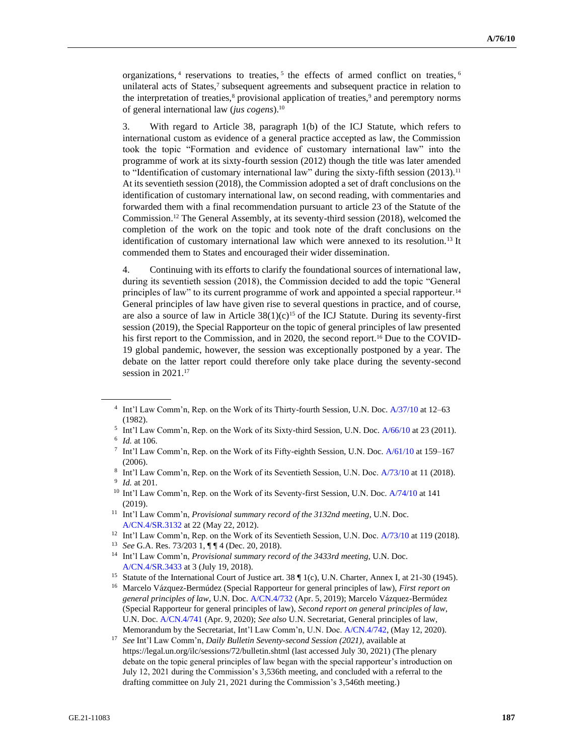organizations,<sup>4</sup> reservations to treaties,<sup>5</sup> the effects of armed conflict on treaties,<sup>6</sup> unilateral acts of States,<sup>7</sup> subsequent agreements and subsequent practice in relation to the interpretation of treaties, $\frac{8}{3}$  provisional application of treaties, $\frac{9}{3}$  and peremptory norms of general international law (*jus cogens*).<sup>10</sup>

3. With regard to Article 38, paragraph 1(b) of the ICJ Statute, which refers to international custom as evidence of a general practice accepted as law, the Commission took the topic "Formation and evidence of customary international law" into the programme of work at its sixty-fourth session (2012) though the title was later amended to "Identification of customary international law" during the sixty-fifth session (2013).<sup>11</sup> At its seventieth session (2018), the Commission adopted a set of draft conclusions on the identification of customary international law, on second reading, with commentaries and forwarded them with a final recommendation pursuant to article 23 of the Statute of the Commission.<sup>12</sup> The General Assembly, at its seventy-third session (2018), welcomed the completion of the work on the topic and took note of the draft conclusions on the identification of customary international law which were annexed to its resolution.<sup>13</sup> It commended them to States and encouraged their wider dissemination.

4. Continuing with its efforts to clarify the foundational sources of international law, during its seventieth session (2018), the Commission decided to add the topic "General principles of law" to its current programme of work and appointed a special rapporteur.<sup>14</sup> General principles of law have given rise to several questions in practice, and of course, are also a source of law in Article  $38(1)(c)^{15}$  of the ICJ Statute. During its seventy-first session (2019), the Special Rapporteur on the topic of general principles of law presented his first report to the Commission, and in 2020, the second report.<sup>16</sup> Due to the COVID-19 global pandemic, however, the session was exceptionally postponed by a year. The debate on the latter report could therefore only take place during the seventy-second session in 2021.<sup>17</sup>

<sup>4</sup> Int'l Law Comm'n, Rep. on the Work of its Thirty-fourth Session, U.N. Doc. [A/37/10](https://documents-dds-ny.un.org/doc/UNDOC/GEN/N82/232/50/pdf/N8223250.pdf?OpenElement) at 12–63 (1982).

<sup>5</sup> Int'l Law Comm'n, Rep. on the Work of its Sixty-third Session, U.N. Doc[. A/66/10](https://undocs.org/en/A/66/10) at 23 (2011). 6 *Id.* at 106.

<sup>7</sup> Int'l Law Comm'n, Rep. on the Work of its Fifty-eighth Session, U.N. Doc[. A/61/10](https://undocs.org/en/A/61/10) at 159–167 (2006).

<sup>8</sup> Int'l Law Comm'n, Rep. on the Work of its Seventieth Session, U.N. Doc[. A/73/10](https://undocs.org/en/A/73/10) at 11 (2018).

<sup>9</sup> *Id.* at 201.

<sup>&</sup>lt;sup>10</sup> Int'l Law Comm'n, Rep. on the Work of its Seventy-first Session, U.N. Doc. [A/74/10](https://undocs.org/en/A/74/10) at 141 (2019).

<sup>11</sup> Int'l Law Comm'n, *Provisional summary record of the 3132nd meeting*, U.N. Doc. [A/CN.4/SR.3132](https://undocs.org/en/A/CN.4/SR.3132) at 22 (May 22, 2012).

<sup>&</sup>lt;sup>12</sup> Int'l Law Comm'n, Rep. on the Work of its Seventieth Session, U.N. Doc[. A/73/10](https://undocs.org/en/A/73/10) at 119 (2018).

<sup>13</sup> *See* G.A. Res. 73/203 1, ¶ ¶ 4 (Dec. 20, 2018).

<sup>14</sup> Int'l Law Comm'n, *Provisional summary record of the 3433rd meeting*, U.N. Doc. [A/CN.4/SR.3433](https://undocs.org/en/A/CN.4/SR.3433) at 3 (July 19, 2018).

<sup>&</sup>lt;sup>15</sup> Statute of the International Court of Justice art. 38 ¶ 1(c), U.N. Charter, Annex I, at 21-30 (1945).

<sup>16</sup> Marcelo Vázquez-Bermúdez (Special Rapporteur for general principles of law), *First report on general principles of law*, U.N. Doc[. A/CN.4/732](https://undocs.org/en/A/CN.4/732) (Apr. 5, 2019); Marcelo Vázquez-Bermúdez (Special Rapporteur for general principles of law), *Second report on general principles of law*, U.N. Doc. [A/CN.4/741](https://undocs.org/en/A/CN.4/741) (Apr. 9, 2020); *See also* U.N. Secretariat, General principles of law, Memorandum by the Secretariat, Int'l Law Comm'n, U.N. Doc. [A/CN.4/742,](https://undocs.org/en/A/CN.4/742) (May 12, 2020).

<sup>17</sup> *See* Int'l Law Comm'n, *Daily Bulletin Seventy-second Session (2021)*, available at https://legal.un.org/ilc/sessions/72/bulletin.shtml (last accessed July 30, 2021) (The plenary debate on the topic general principles of law began with the special rapporteur's introduction on July 12, 2021 during the Commission's 3,536th meeting, and concluded with a referral to the drafting committee on July 21, 2021 during the Commission's 3,546th meeting.)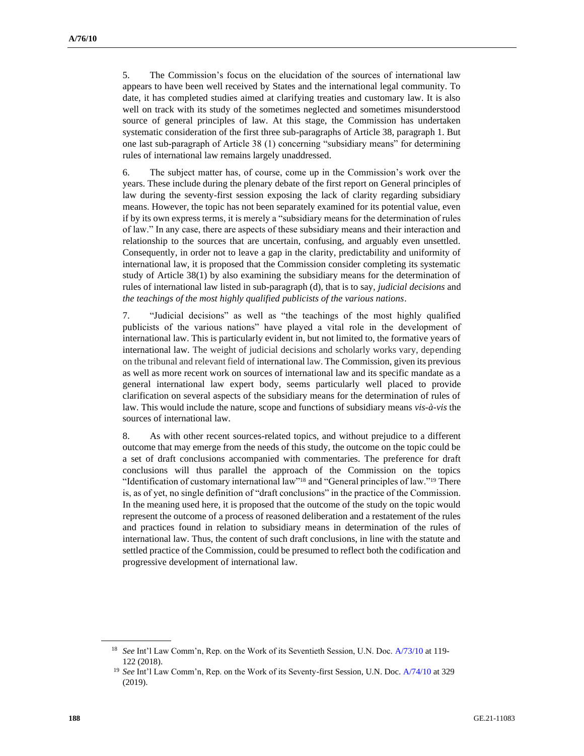5. The Commission's focus on the elucidation of the sources of international law appears to have been well received by States and the international legal community. To date, it has completed studies aimed at clarifying treaties and customary law. It is also well on track with its study of the sometimes neglected and sometimes misunderstood source of general principles of law. At this stage, the Commission has undertaken systematic consideration of the first three sub-paragraphs of Article 38, paragraph 1. But one last sub-paragraph of Article 38 (1) concerning "subsidiary means" for determining rules of international law remains largely unaddressed.

6. The subject matter has, of course, come up in the Commission's work over the years. These include during the plenary debate of the first report on General principles of law during the seventy-first session exposing the lack of clarity regarding subsidiary means. However, the topic has not been separately examined for its potential value, even if by its own express terms, it is merely a "subsidiary means for the determination of rules of law." In any case, there are aspects of these subsidiary means and their interaction and relationship to the sources that are uncertain, confusing, and arguably even unsettled. Consequently, in order not to leave a gap in the clarity, predictability and uniformity of international law, it is proposed that the Commission consider completing its systematic study of Article 38(1) by also examining the subsidiary means for the determination of rules of international law listed in sub-paragraph (d), that is to say, *judicial decisions* and *the teachings of the most highly qualified publicists of the various nations*.

7. "Judicial decisions" as well as "the teachings of the most highly qualified publicists of the various nations" have played a vital role in the development of international law. This is particularly evident in, but not limited to, the formative years of international law. The weight of judicial decisions and scholarly works vary, depending on the tribunal and relevant field of international law. The Commission, given its previous as well as more recent work on sources of international law and its specific mandate as a general international law expert body, seems particularly well placed to provide clarification on several aspects of the subsidiary means for the determination of rules of law. This would include the nature, scope and functions of subsidiary means *vis-à-vis* the sources of international law.

8. As with other recent sources-related topics, and without prejudice to a different outcome that may emerge from the needs of this study, the outcome on the topic could be a set of draft conclusions accompanied with commentaries. The preference for draft conclusions will thus parallel the approach of the Commission on the topics "Identification of customary international law"<sup>18</sup> and "General principles of law."<sup>19</sup> There is, as of yet, no single definition of "draft conclusions" in the practice of the Commission. In the meaning used here, it is proposed that the outcome of the study on the topic would represent the outcome of a process of reasoned deliberation and a restatement of the rules and practices found in relation to subsidiary means in determination of the rules of international law. Thus, the content of such draft conclusions, in line with the statute and settled practice of the Commission, could be presumed to reflect both the codification and progressive development of international law.

<sup>18</sup> *See* Int'l Law Comm'n, Rep. on the Work of its Seventieth Session, U.N. Doc. [A/73/10](https://undocs.org/en/A/73/10) at 119- 122 (2018).

<sup>19</sup> *See* Int'l Law Comm'n, Rep. on the Work of its Seventy-first Session, U.N. Doc[. A/74/10](https://undocs.org/en/A/74/10) at 329 (2019).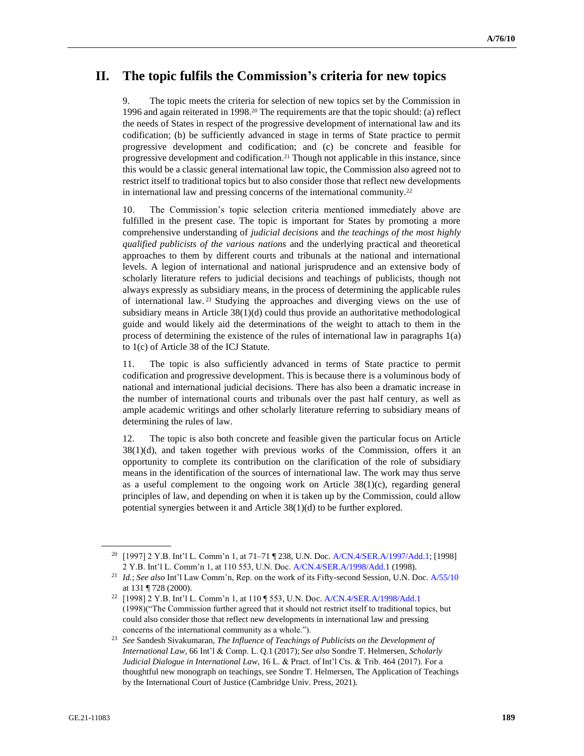# **II. The topic fulfils the Commission's criteria for new topics**

9. The topic meets the criteria for selection of new topics set by the Commission in 1996 and again reiterated in 1998.<sup>20</sup> The requirements are that the topic should: (a) reflect the needs of States in respect of the progressive development of international law and its codification; (b) be sufficiently advanced in stage in terms of State practice to permit progressive development and codification; and (c) be concrete and feasible for progressive development and codification.<sup>21</sup> Though not applicable in this instance, since this would be a classic general international law topic, the Commission also agreed not to restrict itself to traditional topics but to also consider those that reflect new developments in international law and pressing concerns of the international community.<sup>22</sup>

10. The Commission's topic selection criteria mentioned immediately above are fulfilled in the present case. The topic is important for States by promoting a more comprehensive understanding of *judicial decisions* and *the teachings of the most highly qualified publicists of the various nations* and the underlying practical and theoretical approaches to them by different courts and tribunals at the national and international levels. A legion of international and national jurisprudence and an extensive body of scholarly literature refers to judicial decisions and teachings of publicists, though not always expressly as subsidiary means, in the process of determining the applicable rules of international law. <sup>23</sup> Studying the approaches and diverging views on the use of subsidiary means in Article 38(1)(d) could thus provide an authoritative methodological guide and would likely aid the determinations of the weight to attach to them in the process of determining the existence of the rules of international law in paragraphs 1(a) to 1(c) of Article 38 of the ICJ Statute.

11. The topic is also sufficiently advanced in terms of State practice to permit codification and progressive development. This is because there is a voluminous body of national and international judicial decisions. There has also been a dramatic increase in the number of international courts and tribunals over the past half century, as well as ample academic writings and other scholarly literature referring to subsidiary means of determining the rules of law.

12. The topic is also both concrete and feasible given the particular focus on Article  $38(1)(d)$ , and taken together with previous works of the Commission, offers it an opportunity to complete its contribution on the clarification of the role of subsidiary means in the identification of the sources of international law. The work may thus serve as a useful complement to the ongoing work on Article  $38(1)(c)$ , regarding general principles of law, and depending on when it is taken up by the Commission, could allow potential synergies between it and Article 38(1)(d) to be further explored.

<sup>20</sup> [1997] 2 Y.B. Int'l L. Comm'n 1, at 71–71 ¶ 238, U.N. Doc. [A/CN.4/SER.A/1997/Add.1;](https://undocs.org/en/A/CN.4/SER.A/1997/Add.1) [1998] 2 Y.B. Int'l L. Comm'n 1, at 110 553, U.N. Doc[. A/CN.4/SER.A/1998/Add.1](https://undocs.org/en/A/CN.4/SER.A/1998/Add.) (1998).

<sup>21</sup> *Id.*; *See also* Int'l Law Comm'n, Rep. on the work of its Fifty-second Session, U.N. Doc[. A/55/10](https://documents-dds-ny.un.org/doc/UNDOC/GEN/N00/664/24/img/N0066424.pdf?OpenElement) at 131 ¶ 728 (2000).

<sup>22</sup> [1998] 2 Y.B. Int'l L. Comm'n 1, at 110 ¶ 553, U.N. Doc. [A/CN.4/SER.A/1998/Add.1](https://undocs.org/en/A/CN.4/SER.A/1998/Add.1) (1998)("The Commission further agreed that it should not restrict itself to traditional topics, but could also consider those that reflect new developments in international law and pressing concerns of the international community as a whole.").

<sup>23</sup> *See* Sandesh Sivakumaran, *The Influence of Teachings of Publicists on the Development of International Law*, 66 Int'l & Comp. L. Q.1 (2017); *See also* Sondre T. Helmersen, *Scholarly Judicial Dialogue in International Law*, 16 L. & Pract. of Int'l Cts. & Trib. 464 (2017). For a thoughtful new monograph on teachings, see Sondre T. Helmersen, The Application of Teachings by the International Court of Justice (Cambridge Univ. Press, 2021).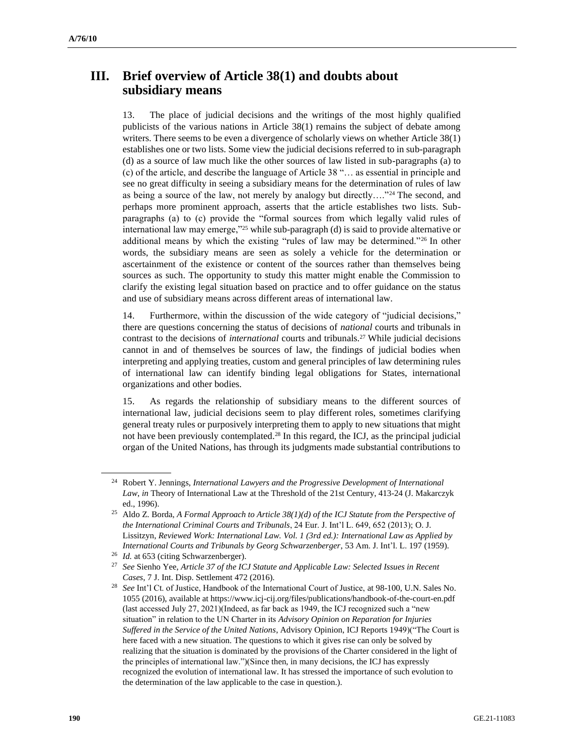# **III. Brief overview of Article 38(1) and doubts about subsidiary means**

13. The place of judicial decisions and the writings of the most highly qualified publicists of the various nations in Article 38(1) remains the subject of debate among writers. There seems to be even a divergence of scholarly views on whether Article 38(1) establishes one or two lists. Some view the judicial decisions referred to in sub-paragraph (d) as a source of law much like the other sources of law listed in sub-paragraphs (a) to (c) of the article, and describe the language of Article 38 "… as essential in principle and see no great difficulty in seeing a subsidiary means for the determination of rules of law as being a source of the law, not merely by analogy but directly...."<sup>24</sup> The second, and perhaps more prominent approach, asserts that the article establishes two lists. Subparagraphs (a) to (c) provide the "formal sources from which legally valid rules of international law may emerge,"<sup>25</sup> while sub-paragraph (d) is said to provide alternative or additional means by which the existing "rules of law may be determined."<sup>26</sup> In other words, the subsidiary means are seen as solely a vehicle for the determination or ascertainment of the existence or content of the sources rather than themselves being sources as such. The opportunity to study this matter might enable the Commission to clarify the existing legal situation based on practice and to offer guidance on the status and use of subsidiary means across different areas of international law.

14. Furthermore, within the discussion of the wide category of "judicial decisions," there are questions concerning the status of decisions of *national* courts and tribunals in contrast to the decisions of *international* courts and tribunals.<sup>27</sup> While judicial decisions cannot in and of themselves be sources of law, the findings of judicial bodies when interpreting and applying treaties, custom and general principles of law determining rules of international law can identify binding legal obligations for States, international organizations and other bodies.

15. As regards the relationship of subsidiary means to the different sources of international law, judicial decisions seem to play different roles, sometimes clarifying general treaty rules or purposively interpreting them to apply to new situations that might not have been previously contemplated.<sup>28</sup> In this regard, the ICJ, as the principal judicial organ of the United Nations, has through its judgments made substantial contributions to

<sup>24</sup> Robert Y. Jennings, *International Lawyers and the Progressive Development of International Law*, *in* Theory of International Law at the Threshold of the 21st Century, 413-24 (J. Makarczyk ed., 1996).

<sup>25</sup> Aldo Z. Borda, *A Formal Approach to Article 38(1)(d) of the ICJ Statute from the Perspective of the International Criminal Courts and Tribunals*, 24 Eur. J. Int'l L. 649, 652 (2013); O. J. Lissitzyn, *Reviewed Work: International Law. Vol. 1 (3rd ed.): International Law as Applied by International Courts and Tribunals by Georg Schwarzenberger*, 53 Am. J. Int'l. L. 197 (1959).

<sup>&</sup>lt;sup>26</sup> *Id.* at 653 (citing Schwarzenberger).

<sup>27</sup> *See* Sienho Yee, *Article 37 of the ICJ Statute and Applicable Law: Selected Issues in Recent Cases*, 7 J. Int. Disp. Settlement 472 (2016).

<sup>28</sup> *See* Int'l Ct. of Justice, Handbook of the International Court of Justice, at 98-100, U.N. Sales No. 1055 (2016), available at https://www.icj-cij.org/files/publications/handbook-of-the-court-en.pdf (last accessed July 27, 2021)(Indeed, as far back as 1949, the ICJ recognized such a "new situation" in relation to the UN Charter in its *Advisory Opinion on Reparation for Injuries Suffered in the Service of the United Nations*, Advisory Opinion, ICJ Reports 1949)("The Court is here faced with a new situation. The questions to which it gives rise can only be solved by realizing that the situation is dominated by the provisions of the Charter considered in the light of the principles of international law.")(Since then, in many decisions, the ICJ has expressly recognized the evolution of international law. It has stressed the importance of such evolution to the determination of the law applicable to the case in question.).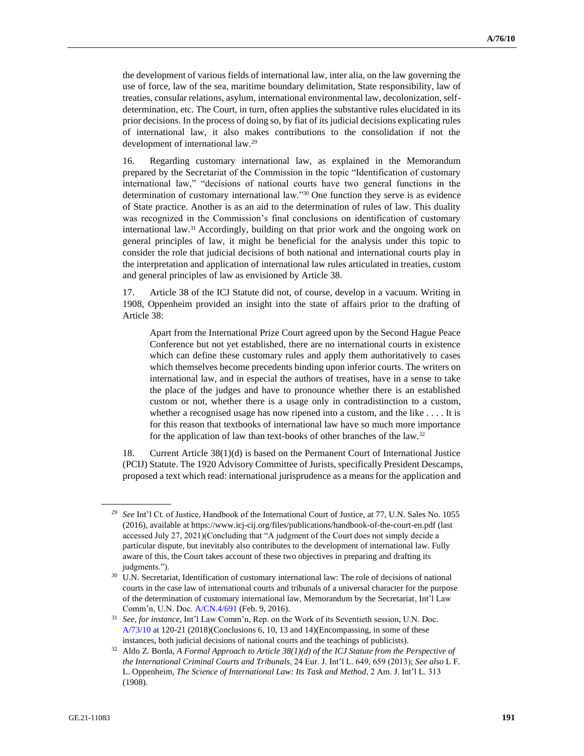the development of various fields of international law, inter alia, on the law governing the use of force, law of the sea, maritime boundary delimitation, State responsibility, law of treaties, consular relations, asylum, international environmental law, decolonization, selfdetermination, etc. The Court, in turn, often applies the substantive rules elucidated in its prior decisions. In the process of doing so, by fiat of its judicial decisions explicating rules of international law, it also makes contributions to the consolidation if not the development of international law.<sup>29</sup>

16. Regarding customary international law, as explained in the Memorandum prepared by the Secretariat of the Commission in the topic "Identification of customary international law," "decisions of national courts have two general functions in the determination of customary international law."<sup>30</sup> One function they serve is as evidence of State practice. Another is as an aid to the determination of rules of law. This duality was recognized in the Commission's final conclusions on identification of customary international law.<sup>31</sup> Accordingly, building on that prior work and the ongoing work on general principles of law, it might be beneficial for the analysis under this topic to consider the role that judicial decisions of both national and international courts play in the interpretation and application of international law rules articulated in treaties, custom and general principles of law as envisioned by Article 38.

17. Article 38 of the ICJ Statute did not, of course, develop in a vacuum. Writing in 1908, Oppenheim provided an insight into the state of affairs prior to the drafting of Article 38:

Apart from the International Prize Court agreed upon by the Second Hague Peace Conference but not yet established, there are no international courts in existence which can define these customary rules and apply them authoritatively to cases which themselves become precedents binding upon inferior courts. The writers on international law, and in especial the authors of treatises, have in a sense to take the place of the judges and have to pronounce whether there is an established custom or not, whether there is a usage only in contradistinction to a custom, whether a recognised usage has now ripened into a custom, and the like . . . . It is for this reason that textbooks of international law have so much more importance for the application of law than text-books of other branches of the law.<sup>32</sup>

18. Current Article 38(1)(d) is based on the Permanent Court of International Justice (PCIJ) Statute. The 1920 Advisory Committee of Jurists, specifically President Descamps, proposed a text which read: international jurisprudence as a means for the application and

<sup>29</sup> *See* Int'l Ct. of Justice, Handbook of the International Court of Justice, at 77, U.N. Sales No. 1055 (2016), available at https://www.icj-cij.org/files/publications/handbook-of-the-court-en.pdf (last accessed July 27, 2021)(Concluding that "A judgment of the Court does not simply decide a particular dispute, but inevitably also contributes to the development of international law. Fully aware of this, the Court takes account of these two objectives in preparing and drafting its judgments.").

<sup>&</sup>lt;sup>30</sup> U.N. Secretariat, Identification of customary international law: The role of decisions of national courts in the case law of international courts and tribunals of a universal character for the purpose of the determination of customary international law, Memorandum by the Secretariat, Int'l Law Comm'n, U.N. Doc[. A/CN.4/691](https://undocs.org/en/A/CN.4/691) (Feb. 9, 2016).

<sup>31</sup> *See, for instance*, Int'l Law Comm'n, Rep. on the Work of its Seventieth session, U.N. Doc. [A/73/10](https://undocs.org/en/A/73/10) at 120-21 (2018)(Conclusions 6, 10, 13 and 14)(Encompassing, in some of these instances, both judicial decisions of national courts and the teachings of publicists).

<sup>32</sup> Aldo Z. Borda, *A Formal Approach to Article 38(1)(d) of the ICJ Statute from the Perspective of the International Criminal Courts and Tribunals*, 24 Eur. J. Int'l L. 649, 659 (2013); *See also* L F. L. Oppenheim, *The Science of International Law: Its Task and Method*, 2 Am. J. Int'l L. 313 (1908).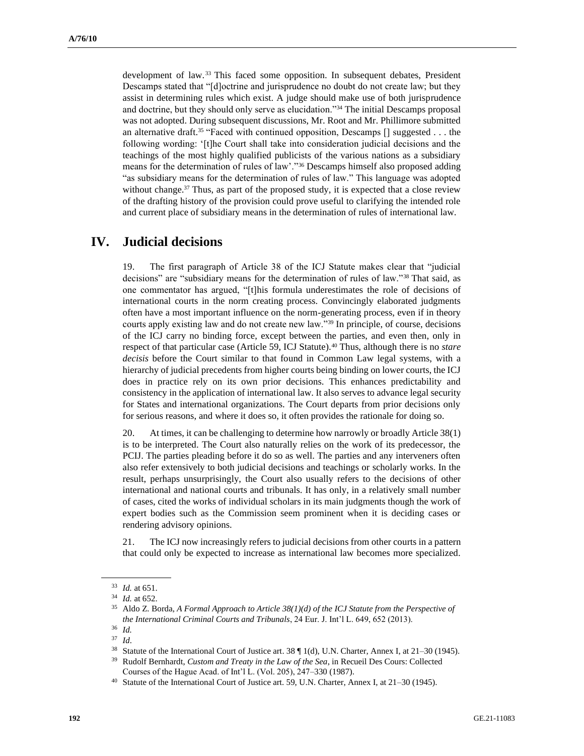development of law. <sup>33</sup> This faced some opposition. In subsequent debates, President Descamps stated that "[d]octrine and jurisprudence no doubt do not create law; but they assist in determining rules which exist. A judge should make use of both jurisprudence and doctrine, but they should only serve as elucidation."<sup>34</sup> The initial Descamps proposal was not adopted. During subsequent discussions, Mr. Root and Mr. Phillimore submitted an alternative draft.<sup>35</sup> "Faced with continued opposition, Descamps  $\lceil \rceil$  suggested . . . the following wording: '[t]he Court shall take into consideration judicial decisions and the teachings of the most highly qualified publicists of the various nations as a subsidiary means for the determination of rules of law'."<sup>36</sup> Descamps himself also proposed adding "as subsidiary means for the determination of rules of law." This language was adopted without change.<sup>37</sup> Thus, as part of the proposed study, it is expected that a close review of the drafting history of the provision could prove useful to clarifying the intended role and current place of subsidiary means in the determination of rules of international law.

## **IV. Judicial decisions**

19. The first paragraph of Article 38 of the ICJ Statute makes clear that "judicial decisions" are "subsidiary means for the determination of rules of law."<sup>38</sup> That said, as one commentator has argued, "[t]his formula underestimates the role of decisions of international courts in the norm creating process. Convincingly elaborated judgments often have a most important influence on the norm-generating process, even if in theory courts apply existing law and do not create new law."<sup>39</sup> In principle, of course, decisions of the ICJ carry no binding force, except between the parties, and even then, only in respect of that particular case (Article 59, ICJ Statute).<sup>40</sup> Thus, although there is no *stare decisis* before the Court similar to that found in Common Law legal systems, with a hierarchy of judicial precedents from higher courts being binding on lower courts, the ICJ does in practice rely on its own prior decisions. This enhances predictability and consistency in the application of international law. It also serves to advance legal security for States and international organizations. The Court departs from prior decisions only for serious reasons, and where it does so, it often provides the rationale for doing so.

20. At times, it can be challenging to determine how narrowly or broadly Article 38(1) is to be interpreted. The Court also naturally relies on the work of its predecessor, the PCIJ. The parties pleading before it do so as well. The parties and any interveners often also refer extensively to both judicial decisions and teachings or scholarly works. In the result, perhaps unsurprisingly, the Court also usually refers to the decisions of other international and national courts and tribunals. It has only, in a relatively small number of cases, cited the works of individual scholars in its main judgments though the work of expert bodies such as the Commission seem prominent when it is deciding cases or rendering advisory opinions.

21. The ICJ now increasingly refers to judicial decisions from other courts in a pattern that could only be expected to increase as international law becomes more specialized.

<sup>33</sup> *Id.* at 651.

<sup>34</sup> *Id.* at 652.

<sup>35</sup> Aldo Z. Borda, *A Formal Approach to Article 38(1)(d) of the ICJ Statute from the Perspective of the International Criminal Courts and Tribunals*, 24 Eur. J. Int'l L. 649, 652 (2013).

<sup>36</sup> *Id.*

<sup>37</sup> *Id*.

<sup>38</sup> Statute of the International Court of Justice art. 38 ¶ 1(d), U.N. Charter, Annex I, at 21–30 (1945).

<sup>39</sup> Rudolf Bernhardt, *Custom and Treaty in the Law of the Sea*, in Recueil Des Cours: Collected Courses of the Hague Acad. of Int'l L. (Vol. 205), 247–330 (1987).

<sup>40</sup> Statute of the International Court of Justice art. 59, U.N. Charter, Annex I, at 21–30 (1945).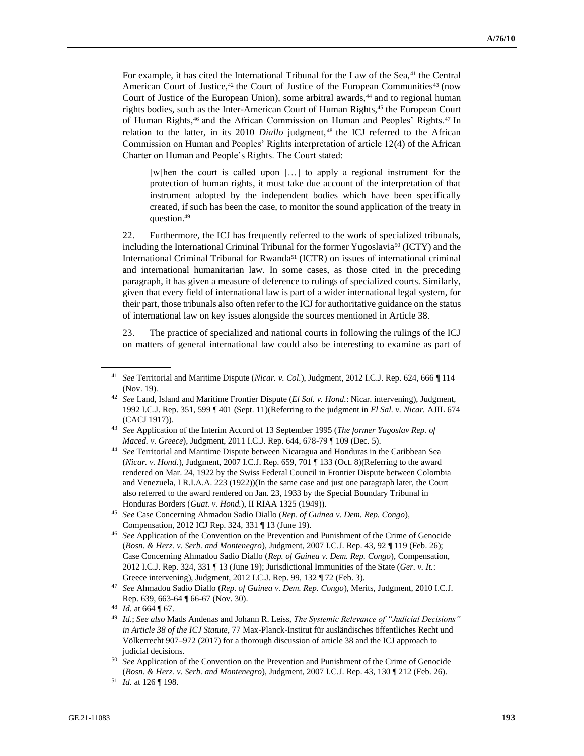For example, it has cited the International Tribunal for the Law of the Sea,<sup>41</sup> the Central American Court of Justice, $42$  the Court of Justice of the European Communities $43$  (now Court of Justice of the European Union), some arbitral awards,<sup>44</sup> and to regional human rights bodies, such as the Inter-American Court of Human Rights,<sup>45</sup> the European Court of Human Rights,<sup>46</sup> and the African Commission on Human and Peoples' Rights.<sup>47</sup> In relation to the latter, in its 2010 *Diallo* judgment, <sup>48</sup> the ICJ referred to the African Commission on Human and Peoples' Rights interpretation of article 12(4) of the African Charter on Human and People's Rights. The Court stated:

[w]hen the court is called upon […] to apply a regional instrument for the protection of human rights, it must take due account of the interpretation of that instrument adopted by the independent bodies which have been specifically created, if such has been the case, to monitor the sound application of the treaty in question.<sup>49</sup>

22. Furthermore, the ICJ has frequently referred to the work of specialized tribunals, including the International Criminal Tribunal for the former Yugoslavia<sup>50</sup> (ICTY) and the International Criminal Tribunal for Rwanda<sup>51</sup> (ICTR) on issues of international criminal and international humanitarian law. In some cases, as those cited in the preceding paragraph, it has given a measure of deference to rulings of specialized courts. Similarly, given that every field of international law is part of a wider international legal system, for their part, those tribunals also often refer to the ICJ for authoritative guidance on the status of international law on key issues alongside the sources mentioned in Article 38.

23. The practice of specialized and national courts in following the rulings of the ICJ on matters of general international law could also be interesting to examine as part of

- <sup>43</sup> *See* Application of the Interim Accord of 13 September 1995 (*The former Yugoslav Rep. of Maced. v. Greece*), Judgment, 2011 I.C.J. Rep. 644, 678-79 ¶ 109 (Dec. 5).
- <sup>44</sup> *See* Territorial and Maritime Dispute between Nicaragua and Honduras in the Caribbean Sea (*Nicar. v. Hond.*), Judgment, 2007 I.C.J. Rep. 659, 701 ¶ 133 (Oct. 8)(Referring to the award rendered on Mar. 24, 1922 by the Swiss Federal Council in Frontier Dispute between Colombia and Venezuela, I R.I.A.A. 223 (1922))(In the same case and just one paragraph later, the Court also referred to the award rendered on Jan. 23, 1933 by the Special Boundary Tribunal in Honduras Borders (*Guat. v. Hond.*), II RIAA 1325 (1949)).

<sup>41</sup> *See* Territorial and Maritime Dispute (*Nicar. v. Col.*), Judgment, 2012 I.C.J. Rep. 624, 666 ¶ 114 (Nov. 19).

<sup>42</sup> *See* Land, Island and Maritime Frontier Dispute (*El Sal. v. Hond.*: Nicar. intervening), Judgment, 1992 I.C.J. Rep. 351, 599 ¶ 401 (Sept. 11)(Referring to the judgment in *El Sal. v. Nicar.* AJIL 674 (CACJ 1917)).

<sup>45</sup> *See* Case Concerning Ahmadou Sadio Diallo (*Rep. of Guinea v. Dem. Rep. Congo*), Compensation, 2012 ICJ Rep. 324, 331 ¶ 13 (June 19).

<sup>46</sup> *See* Application of the Convention on the Prevention and Punishment of the Crime of Genocide (*Bosn. & Herz. v. Serb. and Montenegro*), Judgment, 2007 I.C.J. Rep. 43, 92 ¶ 119 (Feb. 26); Case Concerning Ahmadou Sadio Diallo (*Rep. of Guinea v. Dem. Rep. Congo*), Compensation, 2012 I.C.J. Rep. 324, 331 ¶ 13 (June 19); Jurisdictional Immunities of the State (*Ger. v. It.*: Greece intervening), Judgment, 2012 I.C.J. Rep. 99, 132 ¶ 72 (Feb. 3).

<sup>47</sup> *See* Ahmadou Sadio Diallo (*Rep. of Guinea v. Dem. Rep. Congo*), Merits, Judgment, 2010 I.C.J. Rep. 639, 663-64 ¶ 66-67 (Nov. 30).

<sup>48</sup> *Id.* at 664 ¶ 67.

<sup>49</sup> *Id.*; *See also* Mads Andenas and Johann R. Leiss, *The Systemic Relevance of "Judicial Decisions" in Article 38 of the ICJ Statute*, 77 Max-Planck-Institut für ausländisches öffentliches Recht und Völkerrecht 907–972 (2017) for a thorough discussion of article 38 and the ICJ approach to judicial decisions.

<sup>50</sup> *See* Application of the Convention on the Prevention and Punishment of the Crime of Genocide (*Bosn. & Herz. v. Serb. and Montenegro*), Judgment, 2007 I.C.J. Rep. 43, 130 ¶ 212 (Feb. 26).

<sup>51</sup> *Id.* at 126 ¶ 198.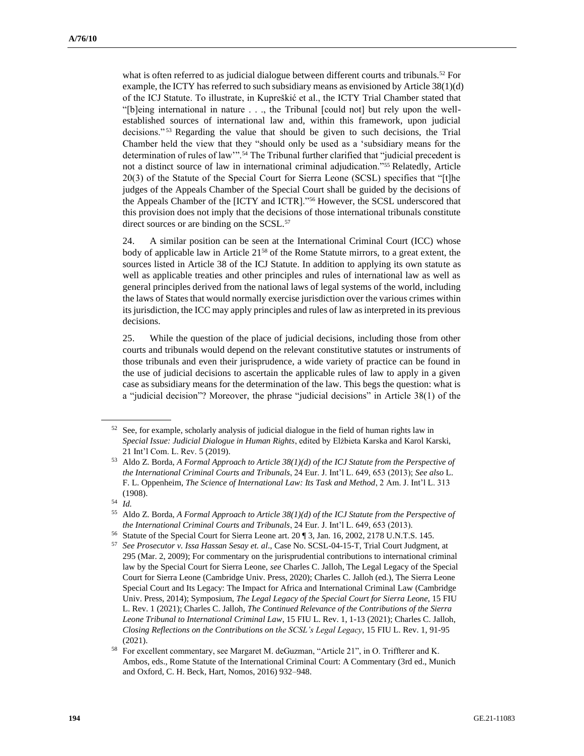what is often referred to as judicial dialogue between different courts and tribunals.<sup>52</sup> For example, the ICTY has referred to such subsidiary means as envisioned by Article 38(1)(d) of the ICJ Statute. To illustrate, in Kupreškić et al., the ICTY Trial Chamber stated that "[b]eing international in nature . . ., the Tribunal [could not] but rely upon the wellestablished sources of international law and, within this framework, upon judicial decisions." <sup>53</sup> Regarding the value that should be given to such decisions, the Trial Chamber held the view that they "should only be used as a 'subsidiary means for the determination of rules of law".<sup>54</sup> The Tribunal further clarified that "judicial precedent is not a distinct source of law in international criminal adjudication."<sup>55</sup> Relatedly, Article 20(3) of the Statute of the Special Court for Sierra Leone (SCSL) specifies that "[t]he judges of the Appeals Chamber of the Special Court shall be guided by the decisions of the Appeals Chamber of the [ICTY and ICTR]."<sup>56</sup> However, the SCSL underscored that this provision does not imply that the decisions of those international tribunals constitute direct sources or are binding on the SCSL.<sup>57</sup>

24. A similar position can be seen at the International Criminal Court (ICC) whose body of applicable law in Article 21<sup>58</sup> of the Rome Statute mirrors, to a great extent, the sources listed in Article 38 of the ICJ Statute. In addition to applying its own statute as well as applicable treaties and other principles and rules of international law as well as general principles derived from the national laws of legal systems of the world, including the laws of States that would normally exercise jurisdiction over the various crimes within its jurisdiction, the ICC may apply principles and rules of law as interpreted in its previous decisions.

25. While the question of the place of judicial decisions, including those from other courts and tribunals would depend on the relevant constitutive statutes or instruments of those tribunals and even their jurisprudence, a wide variety of practice can be found in the use of judicial decisions to ascertain the applicable rules of law to apply in a given case as subsidiary means for the determination of the law. This begs the question: what is a "judicial decision"? Moreover, the phrase "judicial decisions" in Article 38(1) of the

 $52$  See, for example, scholarly analysis of judicial dialogue in the field of human rights law in *Special Issue: Judicial Dialogue in Human Rights*, edited by Elżbieta Karska and Karol Karski, 21 [Int'l Com. L. Rev.](https://brill.com/view/journals/iclr/iclr-overview.xml) 5 (2019).

<sup>53</sup> Aldo Z. Borda, *A Formal Approach to Article 38(1)(d) of the ICJ Statute from the Perspective of the International Criminal Courts and Tribunals*, 24 Eur. J. Int'l L. 649, 653 (2013); *See also* L. F. L. Oppenheim, *The Science of International Law: Its Task and Method*, 2 Am. J. Int'l L. 313 (1908).

 $\frac{54}{55}$  *Id.* 

<sup>55</sup> Aldo Z. Borda, *A Formal Approach to Article 38(1)(d) of the ICJ Statute from the Perspective of the International Criminal Courts and Tribunals*, 24 Eur. J. Int'l L. 649, 653 (2013).

Statute of the Special Court for Sierra Leone art. 20 ¶ 3, Jan. 16, 2002, 2178 U.N.T.S. 145.

<sup>57</sup> *See Prosecutor v. Issa Hassan Sesay et. al*., Case No. SCSL-04-15-T, Trial Court Judgment, at 295 (Mar. 2, 2009); For commentary on the jurisprudential contributions to international criminal law by the Special Court for Sierra Leone, *see* Charles C. Jalloh, The Legal Legacy of the Special Court for Sierra Leone (Cambridge Univ. Press, 2020); Charles C. Jalloh (ed.), The Sierra Leone Special Court and Its Legacy: The Impact for Africa and International Criminal Law (Cambridge Univ. Press, 2014); Symposium, *The Legal Legacy of the Special Court for Sierra Leone*, 15 FIU L. Rev. 1 (2021); Charles C. Jalloh, *The Continued Relevance of the Contributions of the Sierra Leone Tribunal to International Criminal Law*, 15 FIU L. Rev. 1, 1-13 (2021); Charles C. Jalloh, *Closing Reflections on the Contributions on the SCSL's Legal Legacy*, 15 FIU L. Rev. 1, 91-95 (2021).

<sup>58</sup> For excellent commentary, see Margaret M. deGuzman, "Article 21", in O. Triffterer and K. Ambos, eds., Rome Statute of the International Criminal Court: A Commentary (3rd ed., Munich and Oxford, C. H. Beck, Hart, Nomos, 2016) 932–948.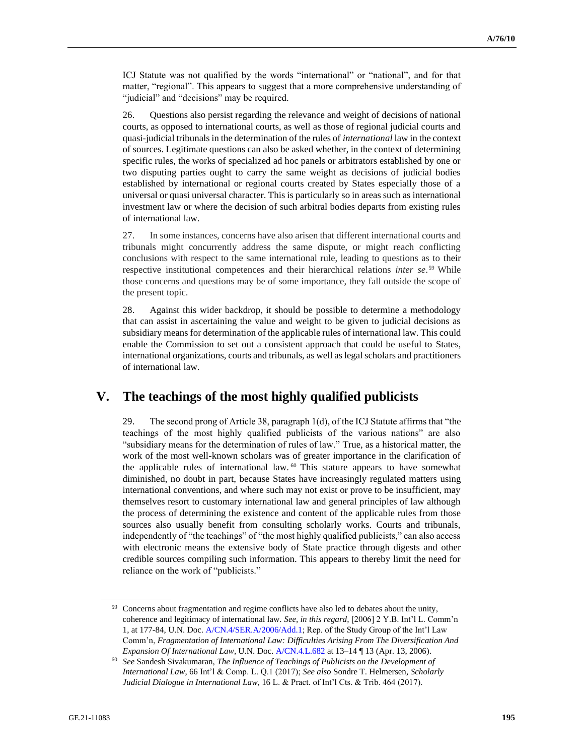ICJ Statute was not qualified by the words "international" or "national", and for that matter, "regional". This appears to suggest that a more comprehensive understanding of "judicial" and "decisions" may be required.

26. Questions also persist regarding the relevance and weight of decisions of national courts, as opposed to international courts, as well as those of regional judicial courts and quasi-judicial tribunals in the determination of the rules of *international* law in the context of sources. Legitimate questions can also be asked whether, in the context of determining specific rules, the works of specialized ad hoc panels or arbitrators established by one or two disputing parties ought to carry the same weight as decisions of judicial bodies established by international or regional courts created by States especially those of a universal or quasi universal character. This is particularly so in areas such as international investment law or where the decision of such arbitral bodies departs from existing rules of international law.

27. In some instances, concerns have also arisen that different international courts and tribunals might concurrently address the same dispute, or might reach conflicting conclusions with respect to the same international rule, leading to questions as to their respective institutional competences and their hierarchical relations *inter se*. <sup>59</sup> While those concerns and questions may be of some importance, they fall outside the scope of the present topic.

28. Against this wider backdrop, it should be possible to determine a methodology that can assist in ascertaining the value and weight to be given to judicial decisions as subsidiary means for determination of the applicable rules of international law. This could enable the Commission to set out a consistent approach that could be useful to States, international organizations, courts and tribunals, as well aslegal scholars and practitioners of international law.

## **V. The teachings of the most highly qualified publicists**

29. The second prong of Article 38, paragraph 1(d), of the ICJ Statute affirms that "the teachings of the most highly qualified publicists of the various nations" are also "subsidiary means for the determination of rules of law." True, as a historical matter, the work of the most well-known scholars was of greater importance in the clarification of the applicable rules of international law.<sup>60</sup> This stature appears to have somewhat diminished, no doubt in part, because States have increasingly regulated matters using international conventions, and where such may not exist or prove to be insufficient, may themselves resort to customary international law and general principles of law although the process of determining the existence and content of the applicable rules from those sources also usually benefit from consulting scholarly works. Courts and tribunals, independently of "the teachings" of "the most highly qualified publicists," can also access with electronic means the extensive body of State practice through digests and other credible sources compiling such information. This appears to thereby limit the need for reliance on the work of "publicists."

<sup>&</sup>lt;sup>59</sup> Concerns about fragmentation and regime conflicts have also led to debates about the unity, coherence and legitimacy of international law. *See, in this regard,* [2006] 2 Y.B. Int'l L. Comm'n 1, at 177-84, U.N. Doc[. A/CN.4/SER.A/2006/Add.1;](https://undocs.org/en/A/CN.4/SER.A/2006/Add.1) Rep. of the Study Group of the Int'l Law Comm'n, *Fragmentation of International Law: Difficulties Arising From The Diversification And Expansion Of International Law*, U.N. Doc. [A/CN.4.L.682](https://documents-dds-ny.un.org/doc/UNDOC/LTD/G06/610/77/pdf/G0661077.pdf?OpenElement) at 13–14 ¶ 13 (Apr. 13, 2006).

<sup>60</sup> *See* Sandesh Sivakumaran, *The Influence of Teachings of Publicists on the Development of International Law*, 66 Int'l & Comp. L. Q.1 (2017); *See also* Sondre T. Helmersen, *Scholarly Judicial Dialogue in International Law*, 16 L. & Pract. of Int'l Cts. & Trib. 464 (2017).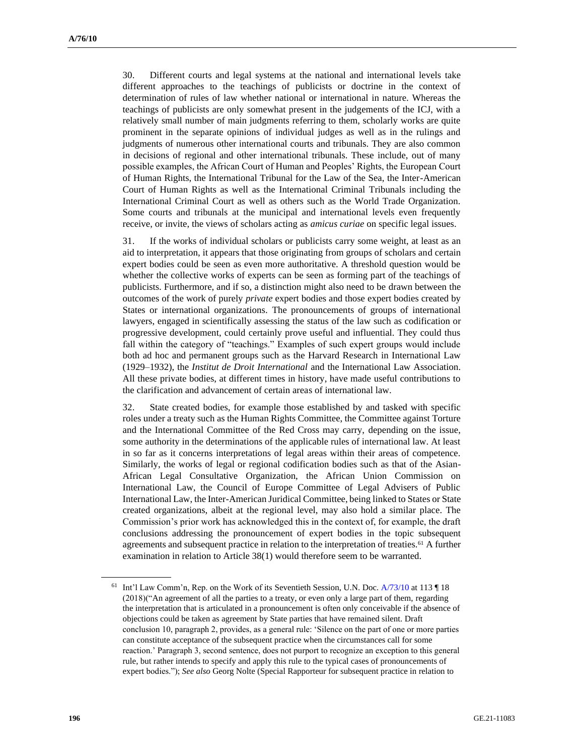30. Different courts and legal systems at the national and international levels take different approaches to the teachings of publicists or doctrine in the context of determination of rules of law whether national or international in nature. Whereas the teachings of publicists are only somewhat present in the judgements of the ICJ, with a relatively small number of main judgments referring to them, scholarly works are quite prominent in the separate opinions of individual judges as well as in the rulings and judgments of numerous other international courts and tribunals. They are also common in decisions of regional and other international tribunals. These include, out of many possible examples, the African Court of Human and Peoples' Rights, the European Court of Human Rights, the International Tribunal for the Law of the Sea, the Inter-American Court of Human Rights as well as the International Criminal Tribunals including the International Criminal Court as well as others such as the World Trade Organization. Some courts and tribunals at the municipal and international levels even frequently receive, or invite, the views of scholars acting as *amicus curiae* on specific legal issues.

31. If the works of individual scholars or publicists carry some weight, at least as an aid to interpretation, it appears that those originating from groups of scholars and certain expert bodies could be seen as even more authoritative. A threshold question would be whether the collective works of experts can be seen as forming part of the teachings of publicists. Furthermore, and if so, a distinction might also need to be drawn between the outcomes of the work of purely *private* expert bodies and those expert bodies created by States or international organizations. The pronouncements of groups of international lawyers, engaged in scientifically assessing the status of the law such as codification or progressive development, could certainly prove useful and influential. They could thus fall within the category of "teachings." Examples of such expert groups would include both ad hoc and permanent groups such as the Harvard Research in International Law (1929–1932), the *Institut de Droit International* and the International Law Association. All these private bodies, at different times in history, have made useful contributions to the clarification and advancement of certain areas of international law.

32. State created bodies, for example those established by and tasked with specific roles under a treaty such as the Human Rights Committee, the Committee against Torture and the International Committee of the Red Cross may carry, depending on the issue, some authority in the determinations of the applicable rules of international law. At least in so far as it concerns interpretations of legal areas within their areas of competence. Similarly, the works of legal or regional codification bodies such as that of the Asian-African Legal Consultative Organization, the African Union Commission on International Law, the Council of Europe Committee of Legal Advisers of Public International Law, the Inter-American Juridical Committee, being linked to States or State created organizations, albeit at the regional level, may also hold a similar place. The Commission's prior work has acknowledged this in the context of, for example, the draft conclusions addressing the pronouncement of expert bodies in the topic subsequent agreements and subsequent practice in relation to the interpretation of treaties.<sup>61</sup> A further examination in relation to Article 38(1) would therefore seem to be warranted.

<sup>&</sup>lt;sup>61</sup> Int'l Law Comm'n, Rep. on the Work of its Seventieth Session, U.N. Doc.  $A/73/10$  at 113  $\P$  18 (2018)("An agreement of all the parties to a treaty, or even only a large part of them, regarding the interpretation that is articulated in a pronouncement is often only conceivable if the absence of objections could be taken as agreement by State parties that have remained silent. Draft conclusion 10, paragraph 2, provides, as a general rule: 'Silence on the part of one or more parties can constitute acceptance of the subsequent practice when the circumstances call for some reaction.' Paragraph 3, second sentence, does not purport to recognize an exception to this general rule, but rather intends to specify and apply this rule to the typical cases of pronouncements of expert bodies."); *See also* Georg Nolte (Special Rapporteur for subsequent practice in relation to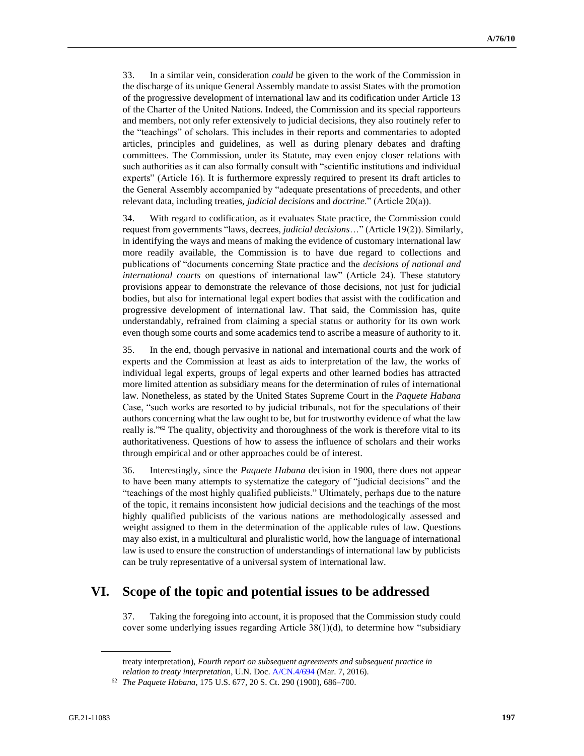33. In a similar vein, consideration *could* be given to the work of the Commission in the discharge of its unique General Assembly mandate to assist States with the promotion of the progressive development of international law and its codification under Article 13 of the Charter of the United Nations. Indeed, the Commission and its special rapporteurs and members, not only refer extensively to judicial decisions, they also routinely refer to the "teachings" of scholars. This includes in their reports and commentaries to adopted articles, principles and guidelines, as well as during plenary debates and drafting committees. The Commission, under its Statute, may even enjoy closer relations with such authorities as it can also formally consult with "scientific institutions and individual experts" (Article 16). It is furthermore expressly required to present its draft articles to the General Assembly accompanied by "adequate presentations of precedents, and other relevant data, including treaties, *judicial decisions* and *doctrine*." (Article 20(a)).

34. With regard to codification, as it evaluates State practice, the Commission could request from governments "laws, decrees, *judicial decisions*…" (Article 19(2)). Similarly, in identifying the ways and means of making the evidence of customary international law more readily available, the Commission is to have due regard to collections and publications of "documents concerning State practice and the *decisions of national and international courts* on questions of international law" (Article 24). These statutory provisions appear to demonstrate the relevance of those decisions, not just for judicial bodies, but also for international legal expert bodies that assist with the codification and progressive development of international law. That said, the Commission has, quite understandably, refrained from claiming a special status or authority for its own work even though some courts and some academics tend to ascribe a measure of authority to it.

35. In the end, though pervasive in national and international courts and the work of experts and the Commission at least as aids to interpretation of the law, the works of individual legal experts, groups of legal experts and other learned bodies has attracted more limited attention as subsidiary means for the determination of rules of international law. Nonetheless, as stated by the United States Supreme Court in the *Paquete Habana* Case, "such works are resorted to by judicial tribunals, not for the speculations of their authors concerning what the law ought to be, but for trustworthy evidence of what the law really is."<sup>62</sup> The quality, objectivity and thoroughness of the work is therefore vital to its authoritativeness. Questions of how to assess the influence of scholars and their works through empirical and or other approaches could be of interest.

36. Interestingly, since the *Paquete Habana* decision in 1900, there does not appear to have been many attempts to systematize the category of "judicial decisions" and the "teachings of the most highly qualified publicists." Ultimately, perhaps due to the nature of the topic, it remains inconsistent how judicial decisions and the teachings of the most highly qualified publicists of the various nations are methodologically assessed and weight assigned to them in the determination of the applicable rules of law. Questions may also exist, in a multicultural and pluralistic world, how the language of international law is used to ensure the construction of understandings of international law by publicists can be truly representative of a universal system of international law.

## **VI. Scope of the topic and potential issues to be addressed**

37. Taking the foregoing into account, it is proposed that the Commission study could cover some underlying issues regarding Article  $38(1)(d)$ , to determine how "subsidiary"

treaty interpretation), *Fourth report on subsequent agreements and subsequent practice in relation to treaty interpretation*, U.N. Doc[. A/CN.4/694](https://undocs.org/en/A/CN.4/694) (Mar. 7, 2016).

<sup>62</sup> *The Paquete Habana*, 175 U.S. 677, 20 S. Ct. 290 (1900), 686–700.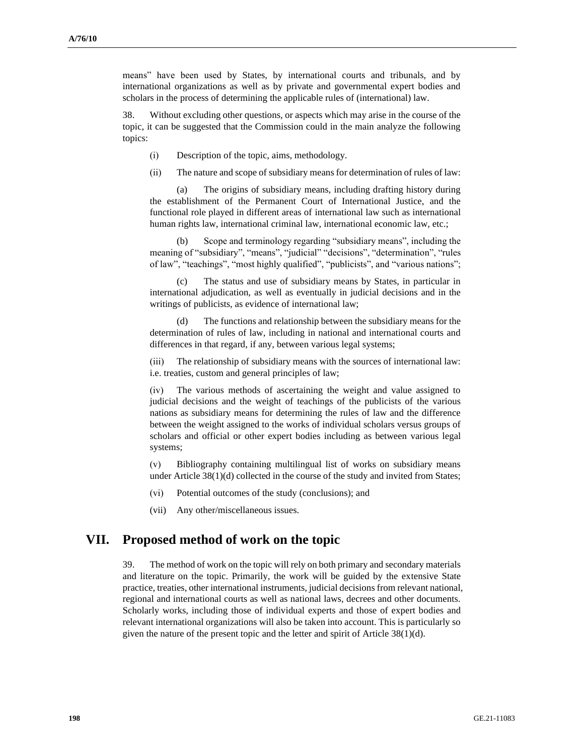means" have been used by States, by international courts and tribunals, and by international organizations as well as by private and governmental expert bodies and scholars in the process of determining the applicable rules of (international) law.

38. Without excluding other questions, or aspects which may arise in the course of the topic, it can be suggested that the Commission could in the main analyze the following topics:

- (i) Description of the topic, aims, methodology.
- (ii) The nature and scope of subsidiary means for determination of rules of law:

(a) The origins of subsidiary means, including drafting history during the establishment of the Permanent Court of International Justice, and the functional role played in different areas of international law such as international human rights law, international criminal law, international economic law, etc.;

(b) Scope and terminology regarding "subsidiary means", including the meaning of "subsidiary", "means", "judicial" "decisions", "determination", "rules of law", "teachings", "most highly qualified", "publicists", and "various nations";

(c) The status and use of subsidiary means by States, in particular in international adjudication, as well as eventually in judicial decisions and in the writings of publicists, as evidence of international law;

(d) The functions and relationship between the subsidiary means for the determination of rules of law, including in national and international courts and differences in that regard, if any, between various legal systems;

(iii) The relationship of subsidiary means with the sources of international law: i.e. treaties, custom and general principles of law;

(iv) The various methods of ascertaining the weight and value assigned to judicial decisions and the weight of teachings of the publicists of the various nations as subsidiary means for determining the rules of law and the difference between the weight assigned to the works of individual scholars versus groups of scholars and official or other expert bodies including as between various legal systems;

(v) Bibliography containing multilingual list of works on subsidiary means under Article  $38(1)(d)$  collected in the course of the study and invited from States;

- (vi) Potential outcomes of the study (conclusions); and
- (vii) Any other/miscellaneous issues.

## **VII. Proposed method of work on the topic**

39. The method of work on the topic will rely on both primary and secondary materials and literature on the topic. Primarily, the work will be guided by the extensive State practice, treaties, other international instruments, judicial decisions from relevant national, regional and international courts as well as national laws, decrees and other documents. Scholarly works, including those of individual experts and those of expert bodies and relevant international organizations will also be taken into account. This is particularly so given the nature of the present topic and the letter and spirit of Article 38(1)(d).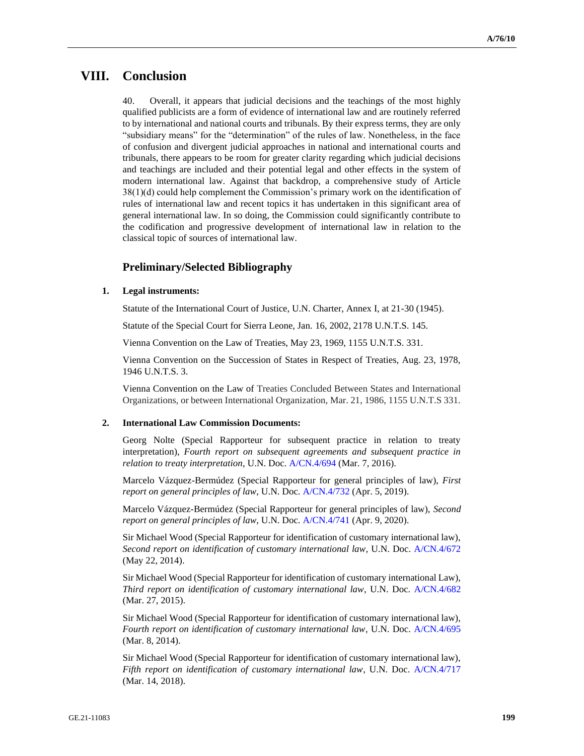# **VIII. Conclusion**

40. Overall, it appears that judicial decisions and the teachings of the most highly qualified publicists are a form of evidence of international law and are routinely referred to by international and national courts and tribunals. By their express terms, they are only "subsidiary means" for the "determination" of the rules of law. Nonetheless, in the face of confusion and divergent judicial approaches in national and international courts and tribunals, there appears to be room for greater clarity regarding which judicial decisions and teachings are included and their potential legal and other effects in the system of modern international law. Against that backdrop, a comprehensive study of Article 38(1)(d) could help complement the Commission's primary work on the identification of rules of international law and recent topics it has undertaken in this significant area of general international law. In so doing, the Commission could significantly contribute to the codification and progressive development of international law in relation to the classical topic of sources of international law.

### **Preliminary/Selected Bibliography**

### **1. Legal instruments:**

Statute of the International Court of Justice, U.N. Charter, Annex I, at 21-30 (1945).

Statute of the Special Court for Sierra Leone, Jan. 16, 2002, 2178 U.N.T.S. 145.

Vienna Convention on the Law of Treaties, May 23, 1969, 1155 U.N.T.S. 331.

Vienna Convention on the Succession of States in Respect of Treaties, Aug. 23, 1978, 1946 U.N.T.S. 3.

Vienna Convention on the Law of Treaties Concluded Between States and International Organizations, or between International Organization, Mar. 21, 1986, 1155 U.N.T.S 331.

#### **2. International Law Commission Documents:**

Georg Nolte (Special Rapporteur for subsequent practice in relation to treaty interpretation), *Fourth report on subsequent agreements and subsequent practice in relation to treaty interpretation*, U.N. Doc. [A/CN.4/694](https://undocs.org/en/A/CN.4/694) (Mar. 7, 2016).

Marcelo Vázquez-Bermúdez (Special Rapporteur for general principles of law), *First report on general principles of law*, U.N. Doc[. A/CN.4/732](https://undocs.org/en/A/CN.4/732) (Apr. 5, 2019).

Marcelo Vázquez-Bermúdez (Special Rapporteur for general principles of law), *Second report on general principles of law*, U.N. Doc[. A/CN.4/741](https://undocs.org/en/A/CN.4/741) (Apr. 9, 2020).

Sir Michael Wood (Special Rapporteur for identification of customary international law), *Second report on identification of customary international law*, U.N. Doc. [A/CN.4/672](https://undocs.org/en/A/CN.4/672) (May 22, 2014).

Sir Michael Wood (Special Rapporteur for identification of customary international Law), *Third report on identification of customary international law*, U.N. Doc. [A/CN.4/682](https://undocs.org/en/A/CN.4/682) (Mar. 27, 2015).

Sir Michael Wood (Special Rapporteur for identification of customary international law), *Fourth report on identification of customary international law*, U.N. Doc. [A/CN.4/695](https://undocs.org/en/A/CN.4/695) (Mar. 8, 2014).

Sir Michael Wood (Special Rapporteur for identification of customary international law), *Fifth report on identification of customary international law*, U.N. Doc. [A/CN.4/717](https://undocs.org/en/A/CN.4/717) (Mar. 14, 2018).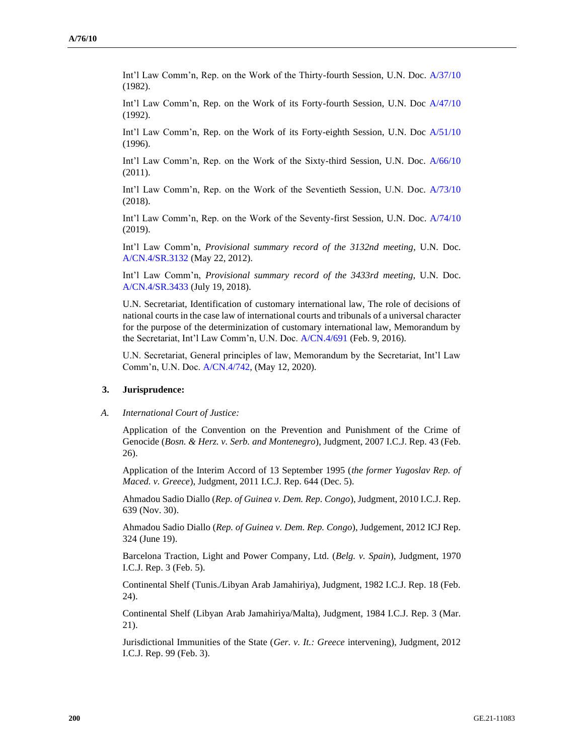Int'l Law Comm'n, Rep. on the Work of the Thirty-fourth Session, U.N. Doc. [A/37/10](https://documents-dds-ny.un.org/doc/UNDOC/GEN/N82/232/50/pdf/N8223250.pdf?OpenElement) (1982).

Int'l Law Comm'n, Rep. on the Work of its Forty-fourth Session, U.N. Doc [A/47/10](https://documents-dds-ny.un.org/doc/UNDOC/GEN/N92/416/03/pdf/N9241603.pdf?OpenElement) (1992).

Int'l Law Comm'n, Rep. on the Work of its Forty-eighth Session, U.N. Doc [A/51/10](https://documents-dds-ny.un.org/doc/UNDOC/GEN/N96/236/37/img/N9623637.pdf?OpenElement) (1996).

Int'l Law Comm'n, Rep. on the Work of the Sixty-third Session, U.N. Doc. [A/66/10](https://undocs.org/en/A/66/10) (2011).

Int'l Law Comm'n, Rep. on the Work of the Seventieth Session, U.N. Doc. [A/73/10](https://undocs.org/en/A/73/10) (2018).

Int'l Law Comm'n, Rep. on the Work of the Seventy-first Session, U.N. Doc. [A/74/10](https://undocs.org/en/A/74/10) (2019).

Int'l Law Comm'n, *Provisional summary record of the 3132nd meeting*, U.N. Doc. [A/CN.4/SR.3132](https://documents-dds-ny.un.org/doc/UNDOC/GEN/G18/229/10/pdf/G1822910.pdf?OpenElement) (May 22, 2012).

Int'l Law Comm'n, *Provisional summary record of the 3433rd meeting*, U.N. Doc. [A/CN.4/SR.3433](https://documents-dds-ny.un.org/doc/UNDOC/GEN/G18/231/01/pdf/G1823101.pdf?OpenElement) (July 19, 2018).

U.N. Secretariat, Identification of customary international law, The role of decisions of national courts in the case law of international courts and tribunals of a universal character for the purpose of the determinization of customary international law, Memorandum by the Secretariat, Int'l Law Comm'n, U.N. Doc. [A/CN.4/691](https://undocs.org/en/A/CN.4/691) (Feb. 9, 2016).

U.N. Secretariat, General principles of law, Memorandum by the Secretariat, Int'l Law Comm'n, U.N. Doc. [A/CN.4/742,](https://undocs.org/en/A/CN.4/742) (May 12, 2020).

#### **3. Jurisprudence:**

#### *A. International Court of Justice:*

Application of the Convention on the Prevention and Punishment of the Crime of Genocide (*Bosn. & Herz. v. Serb. and Montenegro*), Judgment, 2007 I.C.J. Rep. 43 (Feb. 26).

Application of the Interim Accord of 13 September 1995 (*the former Yugoslav Rep. of Maced. v. Greece*), Judgment, 2011 I.C.J. Rep. 644 (Dec. 5).

Ahmadou Sadio Diallo (*Rep. of Guinea v. Dem. Rep. Congo*), Judgment, 2010 I.C.J. Rep. 639 (Nov. 30).

Ahmadou Sadio Diallo (*Rep. of Guinea v. Dem. Rep. Congo*), Judgement, 2012 ICJ Rep. 324 (June 19).

Barcelona Traction, Light and Power Company, Ltd. (*Belg. v. Spain*), Judgment, 1970 I.C.J. Rep. 3 (Feb. 5).

Continental Shelf (Tunis./Libyan Arab Jamahiriya), Judgment, 1982 I.C.J. Rep. 18 (Feb. 24).

Continental Shelf (Libyan Arab Jamahiriya/Malta), Judgment, 1984 I.C.J. Rep. 3 (Mar. 21).

Jurisdictional Immunities of the State (*Ger. v. It.: Greece* intervening), Judgment, 2012 I.C.J. Rep. 99 (Feb. 3).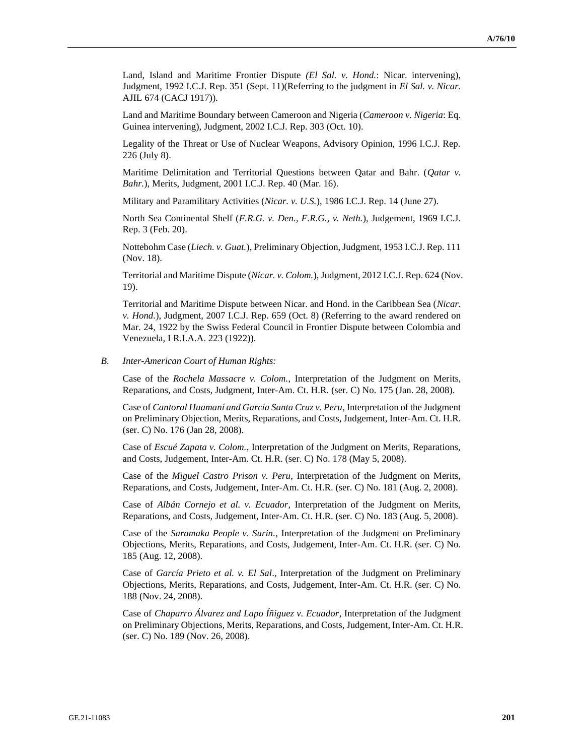Land, Island and Maritime Frontier Dispute *(El Sal. v. Hond.*: Nicar. intervening), Judgment, 1992 I.C.J. Rep. 351 (Sept. 11)(Referring to the judgment in *El Sal. v. Nicar.* AJIL 674 (CACJ 1917)).

Land and Maritime Boundary between Cameroon and Nigeria (*Cameroon v. Nigeria*: Eq. Guinea intervening), Judgment, 2002 I.C.J. Rep. 303 (Oct. 10).

Legality of the Threat or Use of Nuclear Weapons, Advisory Opinion, 1996 I.C.J. Rep. 226 (July 8).

Maritime Delimitation and Territorial Questions between Qatar and Bahr. (*Qatar v. Bahr.*), Merits, Judgment, 2001 I.C.J. Rep. 40 (Mar. 16).

Military and Paramilitary Activities (*Nicar. v. U.S.*), 1986 I.C.J. Rep. 14 (June 27).

North Sea Continental Shelf (*F.R.G. v. Den.*, *F.R.G., v. Neth.*), Judgement, 1969 I.C.J. Rep. 3 (Feb. 20).

Nottebohm Case (*Liech. v. Guat.*), Preliminary Objection, Judgment, 1953 I.C.J. Rep. 111 (Nov. 18).

Territorial and Maritime Dispute (*Nicar. v. Colom.*), Judgment, 2012 I.C.J. Rep. 624 (Nov. 19).

Territorial and Maritime Dispute between Nicar. and Hond. in the Caribbean Sea (*Nicar. v. Hond.*), Judgment, 2007 I.C.J. Rep. 659 (Oct. 8) (Referring to the award rendered on Mar. 24, 1922 by the Swiss Federal Council in Frontier Dispute between Colombia and Venezuela, I R.I.A.A. 223 (1922)).

#### *B. Inter-American Court of Human Rights:*

Case of the *Rochela Massacre v. Colom.*, Interpretation of the Judgment on Merits, Reparations, and Costs, Judgment, Inter-Am. Ct. H.R. (ser. C) No. 175 (Jan. 28, 2008).

Case of *Cantoral Huamaní and García Santa Cruz v. Peru*, Interpretation of the Judgment on Preliminary Objection, Merits, Reparations, and Costs, Judgement, Inter-Am. Ct. H.R. (ser. C) No. 176 (Jan 28, 2008).

Case of *Escué Zapata v. Colom.*, Interpretation of the Judgment on Merits, Reparations, and Costs, Judgement, Inter-Am. Ct. H.R. (ser. C) No. 178 (May 5, 2008).

Case of the *Miguel Castro Prison v. Peru*, Interpretation of the Judgment on Merits, Reparations, and Costs, Judgement, Inter-Am. Ct. H.R. (ser. C) No. 181 (Aug. 2, 2008).

Case of *Albán Cornejo et al. v. Ecuador*, Interpretation of the Judgment on Merits, Reparations, and Costs, Judgement, Inter-Am. Ct. H.R. (ser. C) No. 183 (Aug. 5, 2008).

Case of the *Saramaka People v. Surin.*, Interpretation of the Judgment on Preliminary Objections, Merits, Reparations, and Costs, Judgement, Inter-Am. Ct. H.R. (ser. C) No. 185 (Aug. 12, 2008).

Case of *García Prieto et al. v. El Sal*., Interpretation of the Judgment on Preliminary Objections, Merits, Reparations, and Costs, Judgement, Inter-Am. Ct. H.R. (ser. C) No. 188 (Nov. 24, 2008).

Case of *Chaparro Álvarez and Lapo Íñiguez v. Ecuador*, Interpretation of the Judgment on Preliminary Objections, Merits, Reparations, and Costs, Judgement, Inter-Am. Ct. H.R. (ser. C) No. 189 (Nov. 26, 2008).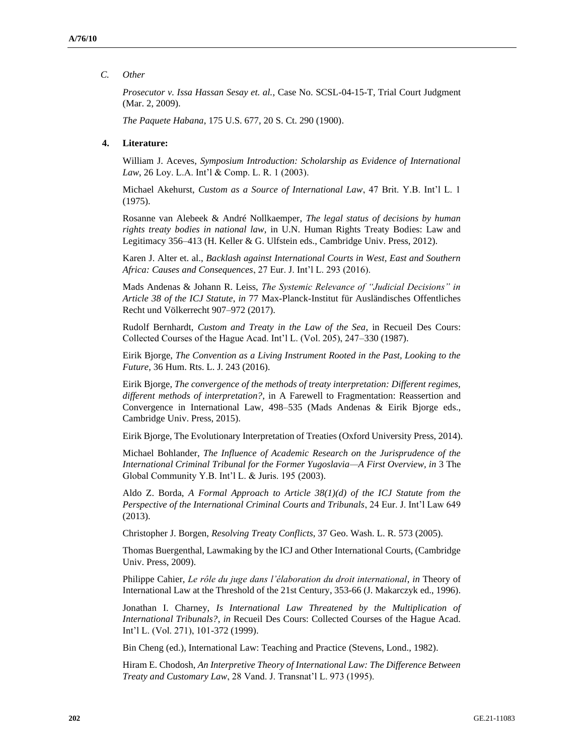### *C. Other*

*Prosecutor v. Issa Hassan Sesay et. al.*, Case No. SCSL-04-15-T, Trial Court Judgment (Mar. 2, 2009).

*The Paquete Habana*, 175 U.S. 677, 20 S. Ct. 290 (1900).

### **4. Literature:**

William J. Aceves, *Symposium Introduction: Scholarship as Evidence of International Law*, 26 Loy. L.A. Int'l & Comp. L. R. 1 (2003).

Michael Akehurst, *Custom as a Source of International Law*, 47 Brit. Y.B. Int'l L. 1 (1975).

Rosanne van Alebeek & André Nollkaemper, *The legal status of decisions by human rights treaty bodies in national law*, in U.N. Human Rights Treaty Bodies: Law and Legitimacy 356–413 (H. Keller & G. Ulfstein eds., Cambridge Univ. Press, 2012).

Karen J. Alter et. al., *Backlash against International Courts in West, East and Southern Africa: Causes and Consequences*, 27 Eur. J. Int'l L. 293 (2016).

Mads Andenas & Johann R. Leiss, *The Systemic Relevance of "Judicial Decisions" in Article 38 of the ICJ Statute*, *in* 77 Max-Planck-Institut für Ausländisches Offentliches Recht und Völkerrecht 907–972 (2017).

Rudolf Bernhardt, *Custom and Treaty in the Law of the Sea*, in Recueil Des Cours: Collected Courses of the Hague Acad. Int'l L. (Vol. 205), 247–330 (1987).

Eirik Bjorge, *The Convention as a Living Instrument Rooted in the Past, Looking to the Future*, 36 Hum. Rts. L. J. 243 (2016).

Eirik Bjorge, *The convergence of the methods of treaty interpretation: Different regimes, different methods of interpretation?*, in A Farewell to Fragmentation: Reassertion and Convergence in International Law, 498–535 (Mads Andenas & Eirik Bjorge eds., Cambridge Univ. Press, 2015).

Eirik Bjorge, The Evolutionary Interpretation of Treaties (Oxford University Press, 2014).

Michael Bohlander, *The Influence of Academic Research on the Jurisprudence of the International Criminal Tribunal for the Former Yugoslavia—A First Overview, in* 3 The Global Community Y.B. Int'l L. & Juris. 195 (2003).

Aldo Z. Borda, *A Formal Approach to Article 38(1)(d) of the ICJ Statute from the Perspective of the International Criminal Courts and Tribunals*, 24 Eur. J. Int'l Law 649 (2013).

Christopher J. Borgen, *Resolving Treaty Conflicts*, 37 Geo. Wash. L. R. 573 (2005).

Thomas Buergenthal, Lawmaking by the ICJ and Other International Courts, (Cambridge Univ. Press, 2009).

Philippe Cahier, *Le rôle du juge dans l'élaboration du droit international*, *in* Theory of International Law at the Threshold of the 21st Century, 353-66 (J. Makarczyk ed., 1996).

Jonathan I. Charney, *Is International Law Threatened by the Multiplication of International Tribunals?*, *in* Recueil Des Cours: Collected Courses of the Hague Acad. Int'l L. (Vol. 271), 101-372 (1999).

Bin Cheng (ed.), International Law: Teaching and Practice (Stevens, Lond., 1982).

Hiram E. Chodosh, *An Interpretive Theory of International Law: The Difference Between Treaty and Customary Law*, 28 Vand. J. Transnat'l L. 973 (1995).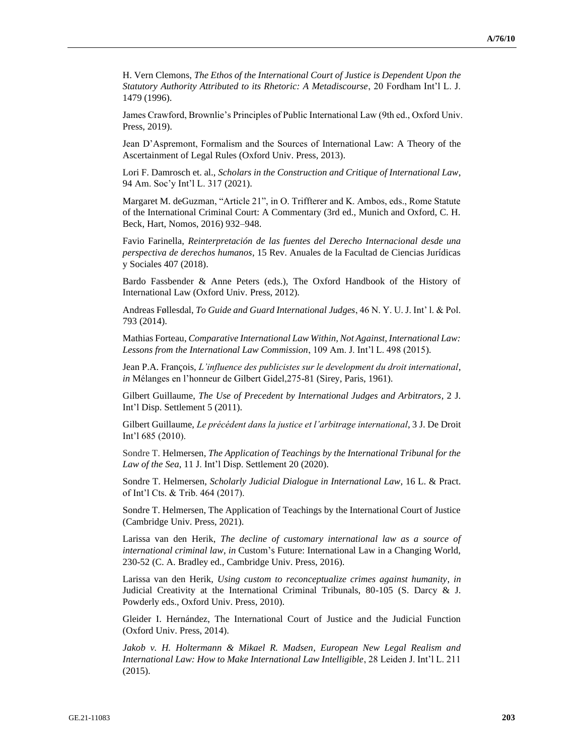H. Vern Clemons, *The Ethos of the International Court of Justice is Dependent Upon the Statutory Authority Attributed to its Rhetoric: A Metadiscourse*, 20 Fordham Int'l L. J. 1479 (1996).

James Crawford, Brownlie's Principles of Public International Law (9th ed., Oxford Univ. Press, 2019).

Jean D'Aspremont, Formalism and the Sources of International Law: A Theory of the Ascertainment of Legal Rules (Oxford Univ. Press, 2013).

Lori F. Damrosch et. al., *Scholars in the Construction and Critique of International Law*, 94 Am. Soc'y Int'l L. 317 (2021).

Margaret M. deGuzman, "Article 21", in O. Triffterer and K. Ambos, eds., Rome Statute of the International Criminal Court: A Commentary (3rd ed., Munich and Oxford, C. H. Beck, Hart, Nomos, 2016) 932–948.

Favio Farinella, *Reinterpretación de las fuentes del Derecho Internacional desde una perspectiva de derechos humanos*, 15 Rev. Anuales de la Facultad de Ciencias Jurídicas y Sociales 407 (2018).

Bardo Fassbender & Anne Peters (eds.), The Oxford Handbook of the History of International Law (Oxford Univ. Press, 2012).

Andreas Føllesdal, *To Guide and Guard International Judges*, 46 N. Y. U. J. Int' l. & Pol. 793 (2014).

Mathias Forteau, *Comparative International Law Within, Not Against, International Law: Lessons from the International Law Commission*, 109 Am. J. Int'l L. 498 (2015).

Jean P.A. François, *L'influence des publicistes sur le development du droit international*, *in* Mélanges en l'honneur de Gilbert Gidel,275-81 (Sirey, Paris, 1961).

Gilbert Guillaume, *The Use of Precedent by International Judges and Arbitrators*, 2 J. Int'l Disp. Settlement 5 (2011).

Gilbert Guillaume, *Le précédent dans la justice et l'arbitrage international*, 3 J. De Droit Int'l 685 (2010).

Sondre T. Helmersen, *The Application of Teachings by the International Tribunal for the Law of the Sea*, 11 J. Int'l Disp. Settlement 20 (2020).

Sondre T. Helmersen, *Scholarly Judicial Dialogue in International Law*, 16 L. & Pract. of Int'l Cts. & Trib. 464 (2017).

Sondre T. Helmersen, The Application of Teachings by the International Court of Justice (Cambridge Univ. Press, 2021).

Larissa van den Herik, *The decline of customary international law as a source of international criminal law*, *in* Custom's Future: International Law in a Changing World, 230-52 (C. A. Bradley ed., Cambridge Univ. Press, 2016).

Larissa van den Herik, *Using custom to reconceptualize crimes against humanity*, *in*  Judicial Creativity at the International Criminal Tribunals, 80-105 (S. Darcy & J. Powderly eds., Oxford Univ. Press, 2010).

Gleider I. Hernández, The International Court of Justice and the Judicial Function (Oxford Univ. Press, 2014).

*Jakob v. H. Holtermann & Mikael R. Madsen*, *European New Legal Realism and International Law: How to Make International Law Intelligible*, 28 Leiden J. Int'l L. 211 (2015).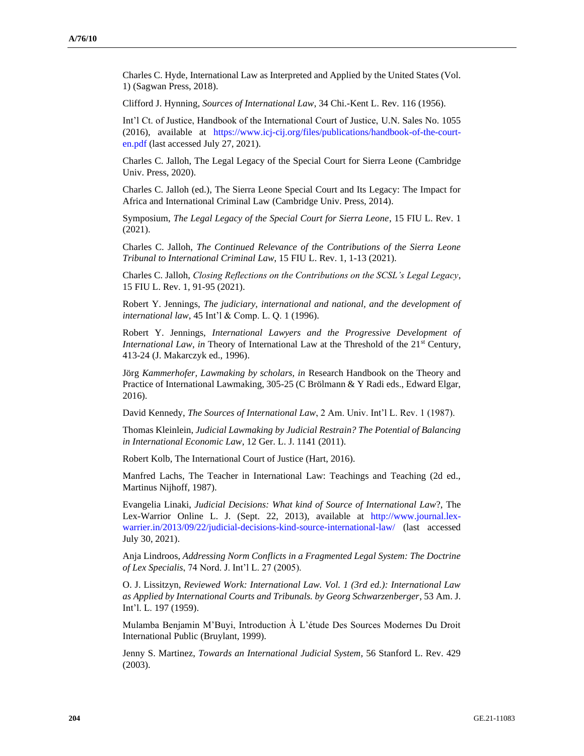Charles C. Hyde, International Law as Interpreted and Applied by the United States (Vol. 1) (Sagwan Press, 2018).

Clifford J. Hynning, *Sources of International Law*, 34 Chi.-Kent L. Rev. 116 (1956).

Int'l Ct. of Justice, Handbook of the International Court of Justice, U.N. Sales No. 1055 (2016), available at [https://www.icj-cij.org/files/publications/handbook-of-the-court](https://www.icj-cij.org/files/publications/handbook-of-the-court-en.pdf)[en.pdf](https://www.icj-cij.org/files/publications/handbook-of-the-court-en.pdf) (last accessed July 27, 2021).

Charles C. Jalloh, The Legal Legacy of the Special Court for Sierra Leone (Cambridge Univ. Press, 2020).

Charles C. Jalloh (ed.), The Sierra Leone Special Court and Its Legacy: The Impact for Africa and International Criminal Law (Cambridge Univ. Press, 2014).

Symposium, *The Legal Legacy of the Special Court for Sierra Leone*, 15 FIU L. Rev. 1 (2021).

Charles C. Jalloh, *The Continued Relevance of the Contributions of the Sierra Leone Tribunal to International Criminal Law*, 15 FIU L. Rev. 1, 1-13 (2021).

Charles C. Jalloh, *Closing Reflections on the Contributions on the SCSL's Legal Legacy*, 15 FIU L. Rev. 1, 91-95 (2021).

Robert Y. Jennings, *The judiciary, international and national, and the development of international law*, 45 Int'l & Comp. L. Q. 1 (1996).

Robert Y. Jennings, *International Lawyers and the Progressive Development of International Law, in* Theory of International Law at the Threshold of the 21<sup>st</sup> Century, 413-24 (J. Makarczyk ed., 1996).

Jörg *Kammerhofer, Lawmaking by scholars, in* Research Handbook on the Theory and Practice of International Lawmaking, 305-25 (C Brölmann & Y Radi eds., Edward Elgar, 2016).

David Kennedy, *The Sources of International Law*, 2 Am. Univ. Int'l L. Rev. 1 (1987).

Thomas Kleinlein, *Judicial Lawmaking by Judicial Restrain? The Potential of Balancing in International Economic Law*, 12 Ger. L. J. 1141 (2011).

Robert Kolb, The International Court of Justice (Hart, 2016).

Manfred Lachs, The Teacher in International Law: Teachings and Teaching (2d ed., Martinus Nijhoff, 1987).

Evangelia Linaki, *Judicial Decisions: What kind of Source of International Law*?, The Lex-Warrior Online L. J. (Sept. 22, 2013), available at [http://www.journal.lex](http://www.journal.lex-warrier.in/2013/09/22/judicial-decisions-kind-source-international-law/)[warrier.in/2013/09/22/judicial-decisions-kind-source-international-law/](http://www.journal.lex-warrier.in/2013/09/22/judicial-decisions-kind-source-international-law/) (last accessed July 30, 2021).

Anja Lindroos, *Addressing Norm Conflicts in a Fragmented Legal System: The Doctrine of Lex Specialis*, 74 Nord. J. Int'l L. 27 (2005).

O. J. Lissitzyn, *Reviewed Work: International Law. Vol. 1 (3rd ed.): International Law as Applied by International Courts and Tribunals. by Georg Schwarzenberger*, 53 Am. J. Int'l. L. 197 (1959).

Mulamba Benjamin M'Buyi, Introduction À L'étude Des Sources Modernes Du Droit International Public (Bruylant, 1999).

Jenny S. Martinez, *Towards an International Judicial System*, 56 Stanford L. Rev. 429 (2003).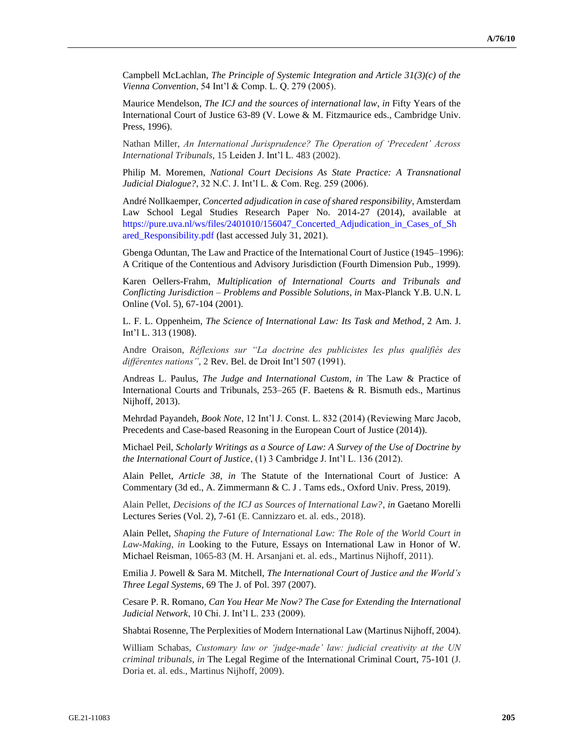Campbell McLachlan, *The Principle of Systemic Integration and Article 31(3)(c) of the Vienna Convention*, 54 Int'l & Comp. L. Q. 279 (2005).

Maurice Mendelson, *The ICJ and the sources of international law*, *in* Fifty Years of the International Court of Justice 63-89 (V. Lowe & M. Fitzmaurice eds., Cambridge Univ. Press, 1996).

Nathan Miller, *An International Jurisprudence? The Operation of 'Precedent' Across International Tribunals*, 15 Leiden J. Int'l L. 483 (2002).

Philip M. Moremen, *National Court Decisions As State Practice: A Transnational Judicial Dialogue?*, 32 N.C. J. Int'l L. & Com. Reg. 259 (2006).

André Nollkaemper, *Concerted adjudication in case of shared responsibility*, Amsterdam Law School Legal Studies Research Paper No. 2014-27 (2014), available at [https://pure.uva.nl/ws/files/2401010/156047\\_Concerted\\_Adjudication\\_in\\_Cases\\_of\\_Sh](https://pure.uva.nl/ws/files/2401010/156047_Concerted_Adjudication_in_Cases_of_Shared_Responsibility.pdf) [ared\\_Responsibility.pdf](https://pure.uva.nl/ws/files/2401010/156047_Concerted_Adjudication_in_Cases_of_Shared_Responsibility.pdf) (last accessed July 31, 2021).

Gbenga Oduntan, The Law and Practice of the International Court of Justice (1945–1996): A Critique of the Contentious and Advisory Jurisdiction (Fourth Dimension Pub., 1999).

Karen Oellers-Frahm, *Multiplication of International Courts and Tribunals and Conflicting Jurisdiction – Problems and Possible Solutions*, *in* Max-Planck Y.B. U.N. L Online (Vol. 5), 67-104 (2001).

L. F. L. Oppenheim, *The Science of International Law: Its Task and Method*, 2 Am. J. Int'l L. 313 (1908).

Andre Oraison, *Réflexions sur "La doctrine des publicistes les plus qualifiés des différentes nations"*, 2 Rev. Bel. de Droit Int'l 507 (1991).

Andreas L. Paulus, *The Judge and International Custom*, *in* The Law & Practice of International Courts and Tribunals, 253–265 (F. Baetens & R. Bismuth eds., Martinus Nijhoff, 2013).

Mehrdad Payandeh, *Book Note*, 12 Int'l J. Const. L. 832 (2014) (Reviewing Marc Jacob, Precedents and Case-based Reasoning in the European Court of Justice (2014)).

Michael Peil, *Scholarly Writings as a Source of Law: A Survey of the Use of Doctrine by the International Court of Justice*, (1) 3 Cambridge J. Int'l L. 136 (2012).

Alain Pellet, *Article 38*, *in* The Statute of the International Court of Justice: A Commentary (3d ed., A. Zimmermann & C. J . Tams eds., Oxford Univ. Press, 2019).

Alain Pellet, *Decisions of the ICJ as Sources of International Law?*, *in* Gaetano Morelli Lectures Series (Vol. 2), 7-61 (E. Cannizzaro et. al. eds., 2018).

Alain Pellet, *Shaping the Future of International Law: The Role of the World Court in Law-Making*, *in* Looking to the Future, Essays on International Law in Honor of W. Michael Reisman, 1065-83 (M. H. Arsanjani et. al. eds., Martinus Nijhoff, 2011).

Emilia J. Powell & Sara M. Mitchell, *The International Court of Justice and the World's Three Legal Systems*, 69 The J. of Pol. 397 (2007).

Cesare P. R. Romano, *Can You Hear Me Now? The Case for Extending the International Judicial Network*, 10 Chi. J. Int'l L. 233 (2009).

Shabtai Rosenne, The Perplexities of Modern International Law (Martinus Nijhoff, 2004).

William Schabas, *Customary law or 'judge-made' law: judicial creativity at the UN criminal tribunals*, *in* The Legal Regime of the International Criminal Court, 75-101 (J. Doria et. al. eds., Martinus Nijhoff, 2009).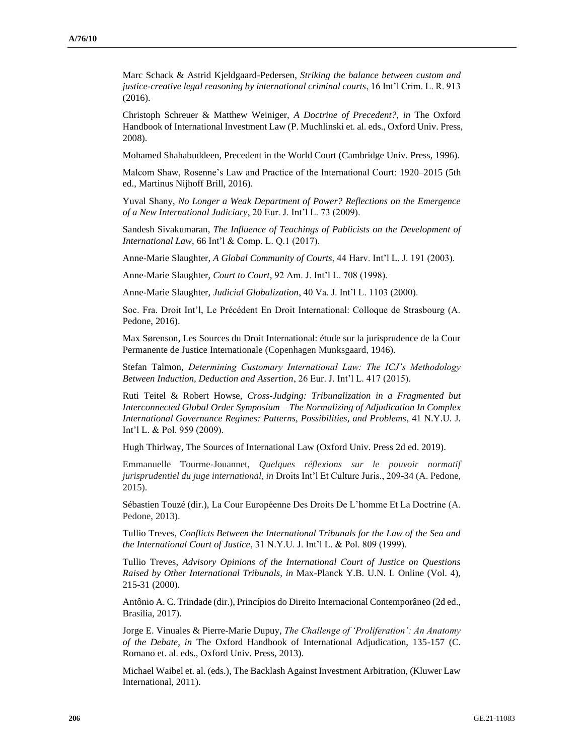Marc Schack & Astrid Kjeldgaard-Pedersen, *Striking the balance between custom and justice-creative legal reasoning by international criminal courts*, 16 Int'l Crim. L. R. 913 (2016).

Christoph Schreuer & Matthew Weiniger, *A Doctrine of Precedent?*, *in* The Oxford Handbook of International Investment Law (P. Muchlinski et. al. eds., Oxford Univ. Press, 2008).

Mohamed Shahabuddeen, Precedent in the World Court (Cambridge Univ. Press, 1996).

Malcom Shaw, Rosenne's Law and Practice of the International Court: 1920–2015 (5th ed., Martinus Nijhoff Brill, 2016).

Yuval Shany, *No Longer a Weak Department of Power? Reflections on the Emergence of a New International Judiciary*, 20 Eur. J. Int'l L. 73 (2009).

Sandesh Sivakumaran, *The Influence of Teachings of Publicists on the Development of International Law*, 66 Int'l & Comp. L. Q.1 (2017).

Anne-Marie Slaughter, *A Global Community of Courts*, 44 Harv. Int'l L. J. 191 (2003).

Anne-Marie Slaughter, *Court to Court*, 92 Am. J. Int'l L. 708 (1998).

Anne-Marie Slaughter, *Judicial Globalization*, 40 Va. J. Int'l L. 1103 (2000).

Soc. Fra. Droit Int'l, Le Précédent En Droit International: Colloque de Strasbourg (A. Pedone, 2016).

Max Sørenson, Les Sources du Droit International: étude sur la jurisprudence de la Cour Permanente de Justice Internationale (Copenhagen Munksgaard, 1946).

Stefan Talmon, *Determining Customary International Law: The ICJ's Methodology Between Induction, Deduction and Assertion*, 26 Eur. J. Int'l L. 417 (2015).

Ruti Teitel & Robert Howse, *Cross-Judging: Tribunalization in a Fragmented but Interconnected Global Order Symposium – The Normalizing of Adjudication In Complex International Governance Regimes: Patterns, Possibilities, and Problems*, 41 N.Y.U. J. Int'l L. & Pol. 959 (2009).

Hugh Thirlway, The Sources of International Law (Oxford Univ. Press 2d ed. 2019).

Emmanuelle Tourme-Jouannet, *Quelques réflexions sur le pouvoir normatif jurisprudentiel du juge international*, *in* Droits Int'l Et Culture Juris., 209-34 (A. Pedone, 2015).

Sébastien Touzé (dir.), La Cour Européenne Des Droits De L'homme Et La Doctrine (A. Pedone, 2013).

Tullio Treves, *Conflicts Between the International Tribunals for the Law of the Sea and the International Court of Justice*, 31 N.Y.U. J. Int'l L. & Pol. 809 (1999).

Tullio Treves, *Advisory Opinions of the International Court of Justice on Questions Raised by Other International Tribunals*, *in* Max-Planck Y.B. U.N. L Online (Vol. 4), 215-31 (2000).

Antônio A. C. Trindade (dir.), Princípios do Direito Internacional Contemporâneo (2d ed., Brasilia, 2017).

Jorge E. Vinuales & Pierre-Marie Dupuy, *The Challenge of 'Proliferation': An Anatomy of the Debate*, *in* The Oxford Handbook of International Adjudication, 135-157 (C. Romano et. al. eds., Oxford Univ. Press, 2013).

Michael Waibel et. al. (eds.), The Backlash Against Investment Arbitration, (Kluwer Law International, 2011).